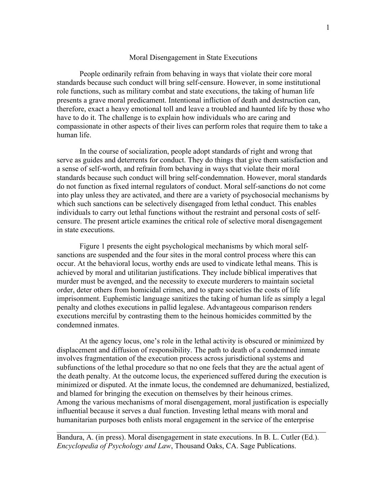## Moral Disengagement in State Executions

People ordinarily refrain from behaving in ways that violate their core moral standards because such conduct will bring self-censure. However, in some institutional role functions, such as military combat and state executions, the taking of human life presents a grave moral predicament. Intentional infliction of death and destruction can, therefore, exact a heavy emotional toll and leave a troubled and haunted life by those who have to do it. The challenge is to explain how individuals who are caring and compassionate in other aspects of their lives can perform roles that require them to take a human life.

In the course of socialization, people adopt standards of right and wrong that serve as guides and deterrents for conduct. They do things that give them satisfaction and a sense of self-worth, and refrain from behaving in ways that violate their moral standards because such conduct will bring self-condemnation. However, moral standards do not function as fixed internal regulators of conduct. Moral self-sanctions do not come into play unless they are activated, and there are a variety of psychosocial mechanisms by which such sanctions can be selectively disengaged from lethal conduct. This enables individuals to carry out lethal functions without the restraint and personal costs of selfcensure. The present article examines the critical role of selective moral disengagement in state executions.

Figure 1 presents the eight psychological mechanisms by which moral selfsanctions are suspended and the four sites in the moral control process where this can occur. At the behavioral locus, worthy ends are used to vindicate lethal means. This is achieved by moral and utilitarian justifications. They include biblical imperatives that murder must be avenged, and the necessity to execute murderers to maintain societal order, deter others from homicidal crimes, and to spare societies the costs of life imprisonment. Euphemistic language sanitizes the taking of human life as simply a legal penalty and clothes executions in pallid legalese. Advantageous comparison renders executions merciful by contrasting them to the heinous homicides committed by the condemned inmates.

At the agency locus, one's role in the lethal activity is obscured or minimized by displacement and diffusion of responsibility. The path to death of a condemned inmate involves fragmentation of the execution process across jurisdictional systems and subfunctions of the lethal procedure so that no one feels that they are the actual agent of the death penalty. At the outcome locus, the experienced suffered during the execution is minimized or disputed. At the inmate locus, the condemned are dehumanized, bestialized, and blamed for bringing the execution on themselves by their heinous crimes. Among the various mechanisms of moral disengagement, moral justification is especially influential because it serves a dual function. Investing lethal means with moral and humanitarian purposes both enlists moral engagement in the service of the enterprise

Bandura, A. (in press). Moral disengagement in state executions. In B. L. Cutler (Ed.). *Encyclopedia of Psychology and Law*, Thousand Oaks, CA. Sage Publications.

 $\mathcal{L}_\text{max}$  , and the contribution of the contribution of the contribution of the contribution of the contribution of the contribution of the contribution of the contribution of the contribution of the contribution of t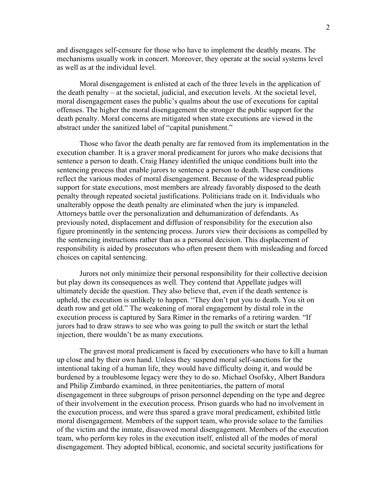and disengages self-censure for those who have to implement the deathly means. The mechanisms usually work in concert. Moreover, they operate at the social systems level as well as at the individual level.

Moral disengagement is enlisted at each of the three levels in the application of the death penalty – at the societal, judicial, and execution levels. At the societal level, moral disengagement eases the public's qualms about the use of executions for capital offenses. The higher the moral disengagement the stronger the public support for the death penalty. Moral concerns are mitigated when state executions are viewed in the abstract under the sanitized label of "capital punishment."

Those who favor the death penalty are far removed from its implementation in the execution chamber. It is a graver moral predicament for jurors who make decisions that sentence a person to death. Craig Haney identified the unique conditions built into the sentencing process that enable jurors to sentence a person to death. These conditions reflect the various modes of moral disengagement. Because of the widespread public support for state executions, most members are already favorably disposed to the death penalty through repeated societal justifications. Politicians trade on it. Individuals who unalterably oppose the death penalty are eliminated when the jury is impaneled. Attorneys battle over the personalization and dehumanization of defendants. As previously noted, displacement and diffusion of responsibility for the execution also figure prominently in the sentencing process. Jurors view their decisions as compelled by the sentencing instructions rather than as a personal decision. This displacement of responsibility is aided by prosecutors who often present them with misleading and forced choices on capital sentencing.

Jurors not only minimize their personal responsibility for their collective decision but play down its consequences as well. They contend that Appellate judges will ultimately decide the question. They also believe that, even if the death sentence is upheld, the execution is unlikely to happen. "They don't put you to death. You sit on death row and get old." The weakening of moral engagement by distal role in the execution process is captured by Sara Rimer in the remarks of a retiring warden. "If jurors had to draw straws to see who was going to pull the switch or start the lethal injection, there wouldn't be as many executions.

The gravest moral predicament is faced by executioners who have to kill a human up close and by their own hand. Unless they suspend moral self-sanctions for the intentional taking of a human life, they would have difficulty doing it, and would be burdened by a troublesome legacy were they to do so. Michael Osofsky, Albert Bandura and Philip Zimbardo examined, in three penitentiaries, the pattern of moral disengagement in three subgroups of prison personnel depending on the type and degree of their involvement in the execution process. Prison guards who had no involvement in the execution process, and were thus spared a grave moral predicament, exhibited little moral disengagement. Members of the support team, who provide solace to the families of the victim and the inmate, disavowed moral disengagement. Members of the execution team, who perform key roles in the execution itself, enlisted all of the modes of moral disengagement. They adopted biblical, economic, and societal security justifications for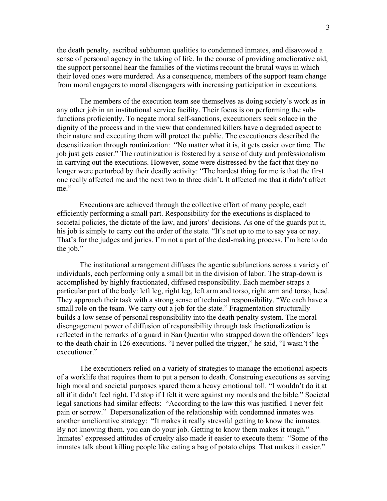the death penalty, ascribed subhuman qualities to condemned inmates, and disavowed a sense of personal agency in the taking of life. In the course of providing ameliorative aid, the support personnel hear the families of the victims recount the brutal ways in which their loved ones were murdered. As a consequence, members of the support team change from moral engagers to moral disengagers with increasing participation in executions.

The members of the execution team see themselves as doing society's work as in any other job in an institutional service facility. Their focus is on performing the subfunctions proficiently. To negate moral self-sanctions, executioners seek solace in the dignity of the process and in the view that condemned killers have a degraded aspect to their nature and executing them will protect the public. The executioners described the desensitization through routinization: "No matter what it is, it gets easier over time. The job just gets easier." The routinization is fostered by a sense of duty and professionalism in carrying out the executions. However, some were distressed by the fact that they no longer were perturbed by their deadly activity: "The hardest thing for me is that the first one really affected me and the next two to three didn't. It affected me that it didn't affect me."

Executions are achieved through the collective effort of many people, each efficiently performing a small part. Responsibility for the executions is displaced to societal policies, the dictate of the law, and jurors' decisions. As one of the guards put it, his job is simply to carry out the order of the state. "It's not up to me to say yea or nay. That's for the judges and juries. I'm not a part of the deal-making process. I'm here to do the job."

The institutional arrangement diffuses the agentic subfunctions across a variety of individuals, each performing only a small bit in the division of labor. The strap-down is accomplished by highly fractionated, diffused responsibility. Each member straps a particular part of the body: left leg, right leg, left arm and torso, right arm and torso, head. They approach their task with a strong sense of technical responsibility. "We each have a small role on the team. We carry out a job for the state." Fragmentation structurally builds a low sense of personal responsibility into the death penalty system. The moral disengagement power of diffusion of responsibility through task fractionalization is reflected in the remarks of a guard in San Quentin who strapped down the offenders' legs to the death chair in 126 executions. "I never pulled the trigger," he said, "I wasn't the executioner."

The executioners relied on a variety of strategies to manage the emotional aspects of a worklife that requires them to put a person to death. Construing executions as serving high moral and societal purposes spared them a heavy emotional toll. "I wouldn't do it at all if it didn't feel right. I'd stop if I felt it were against my morals and the bible." Societal legal sanctions had similar effects: "According to the law this was justified. I never felt pain or sorrow." Depersonalization of the relationship with condemned inmates was another ameliorative strategy: "It makes it really stressful getting to know the inmates. By not knowing them, you can do your job. Getting to know them makes it tough." Inmates' expressed attitudes of cruelty also made it easier to execute them: "Some of the inmates talk about killing people like eating a bag of potato chips. That makes it easier."